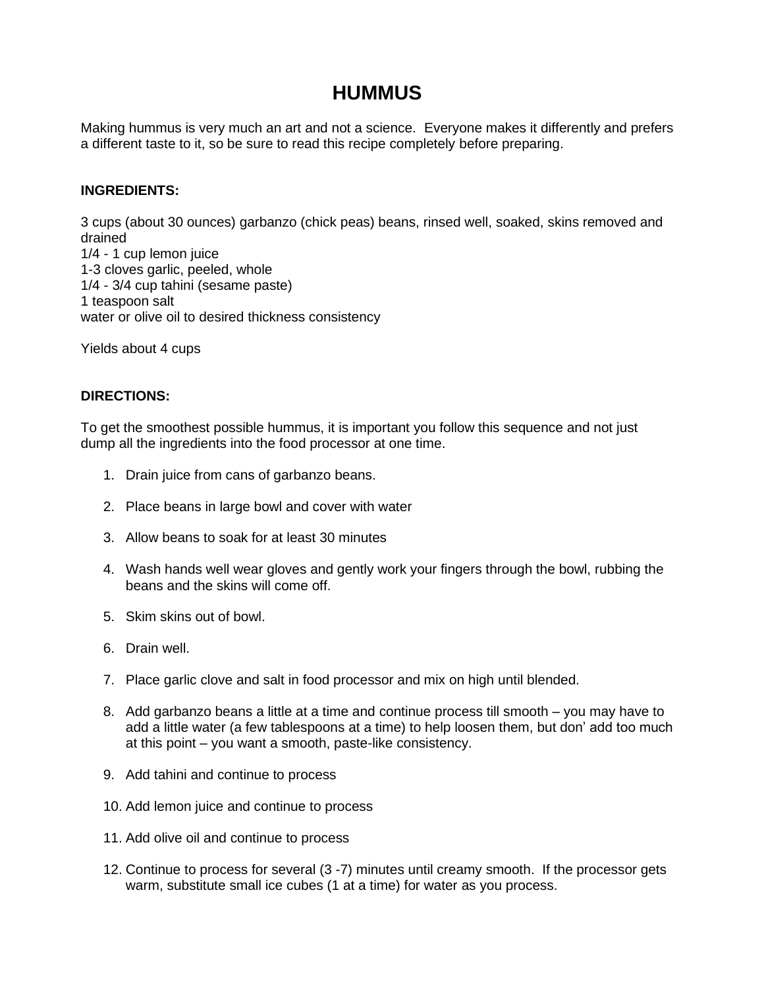# **HUMMUS**

Making hummus is very much an art and not a science. Everyone makes it differently and prefers a different taste to it, so be sure to read this recipe completely before preparing.

## **INGREDIENTS:**

3 cups (about 30 ounces) garbanzo (chick peas) beans, rinsed well, soaked, skins removed and drained 1/4 - 1 cup lemon juice 1-3 cloves garlic, peeled, whole 1/4 - 3/4 cup tahini (sesame paste) 1 teaspoon salt water or olive oil to desired thickness consistency

Yields about 4 cups

## **DIRECTIONS:**

To get the smoothest possible hummus, it is important you follow this sequence and not just dump all the ingredients into the food processor at one time.

- 1. Drain juice from cans of garbanzo beans.
- 2. Place beans in large bowl and cover with water
- 3. Allow beans to soak for at least 30 minutes
- 4. Wash hands well wear gloves and gently work your fingers through the bowl, rubbing the beans and the skins will come off.
- 5. Skim skins out of bowl.
- 6. Drain well.
- 7. Place garlic clove and salt in food processor and mix on high until blended.
- 8. Add garbanzo beans a little at a time and continue process till smooth you may have to add a little water (a few tablespoons at a time) to help loosen them, but don' add too much at this point – you want a smooth, paste-like consistency.
- 9. Add tahini and continue to process
- 10. Add lemon juice and continue to process
- 11. Add olive oil and continue to process
- 12. Continue to process for several (3 -7) minutes until creamy smooth. If the processor gets warm, substitute small ice cubes (1 at a time) for water as you process.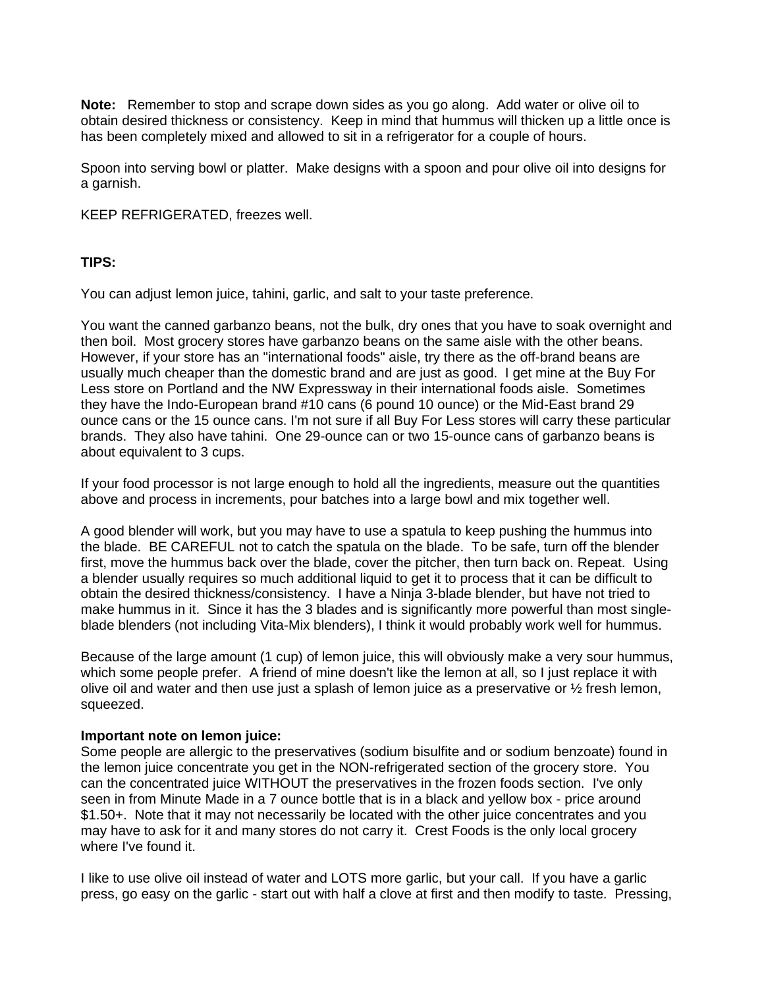**Note:** Remember to stop and scrape down sides as you go along. Add water or olive oil to obtain desired thickness or consistency. Keep in mind that hummus will thicken up a little once is has been completely mixed and allowed to sit in a refrigerator for a couple of hours.

Spoon into serving bowl or platter. Make designs with a spoon and pour olive oil into designs for a garnish.

KEEP REFRIGERATED, freezes well.

### **TIPS:**

You can adjust lemon juice, tahini, garlic, and salt to your taste preference.

You want the canned garbanzo beans, not the bulk, dry ones that you have to soak overnight and then boil. Most grocery stores have garbanzo beans on the same aisle with the other beans. However, if your store has an "international foods" aisle, try there as the off-brand beans are usually much cheaper than the domestic brand and are just as good. I get mine at the Buy For Less store on Portland and the NW Expressway in their international foods aisle. Sometimes they have the Indo-European brand #10 cans (6 pound 10 ounce) or the Mid-East brand 29 ounce cans or the 15 ounce cans. I'm not sure if all Buy For Less stores will carry these particular brands. They also have tahini. One 29-ounce can or two 15-ounce cans of garbanzo beans is about equivalent to 3 cups.

If your food processor is not large enough to hold all the ingredients, measure out the quantities above and process in increments, pour batches into a large bowl and mix together well.

A good blender will work, but you may have to use a spatula to keep pushing the hummus into the blade. BE CAREFUL not to catch the spatula on the blade. To be safe, turn off the blender first, move the hummus back over the blade, cover the pitcher, then turn back on. Repeat. Using a blender usually requires so much additional liquid to get it to process that it can be difficult to obtain the desired thickness/consistency. I have a Ninja 3-blade blender, but have not tried to make hummus in it. Since it has the 3 blades and is significantly more powerful than most singleblade blenders (not including Vita-Mix blenders), I think it would probably work well for hummus.

Because of the large amount (1 cup) of lemon juice, this will obviously make a very sour hummus, which some people prefer. A friend of mine doesn't like the lemon at all, so I just replace it with olive oil and water and then use just a splash of lemon juice as a preservative or  $\frac{1}{2}$  fresh lemon, squeezed.

### **Important note on lemon juice:**

Some people are allergic to the preservatives (sodium bisulfite and or sodium benzoate) found in the lemon juice concentrate you get in the NON-refrigerated section of the grocery store. You can the concentrated juice WITHOUT the preservatives in the frozen foods section. I've only seen in from Minute Made in a 7 ounce bottle that is in a black and yellow box - price around \$1.50+. Note that it may not necessarily be located with the other juice concentrates and you may have to ask for it and many stores do not carry it. Crest Foods is the only local grocery where I've found it.

I like to use olive oil instead of water and LOTS more garlic, but your call. If you have a garlic press, go easy on the garlic - start out with half a clove at first and then modify to taste. Pressing,